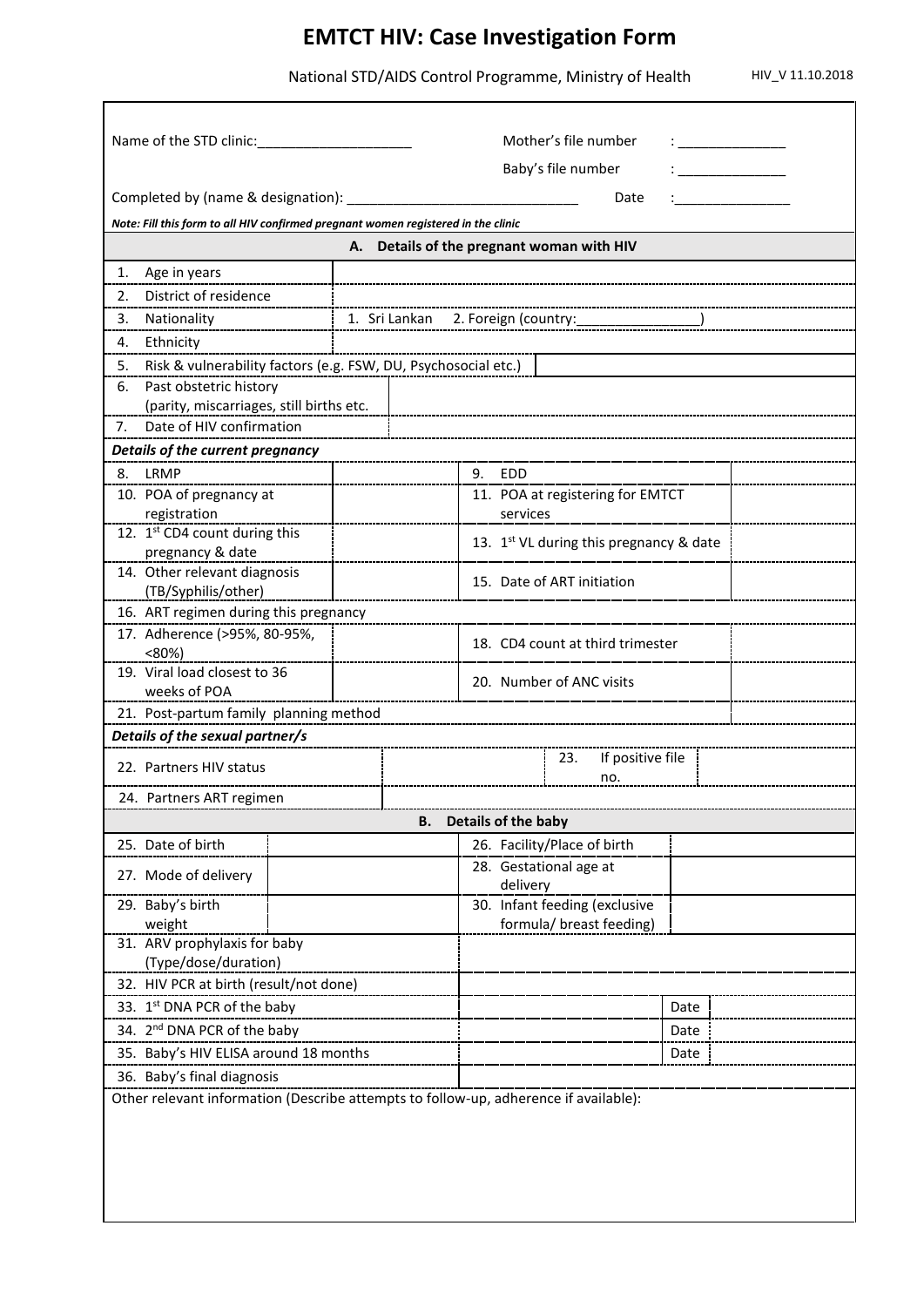## **EMTCT HIV: Case Investigation Form**

National STD/AIDS Control Programme, Ministry of Health HIV\_V 11.10.2018

| Name of the STD clinic:                                                           |                                                                                      |                                | Mother's file number<br>Baby's file number |                                                           |  |                                         |      |  |  |
|-----------------------------------------------------------------------------------|--------------------------------------------------------------------------------------|--------------------------------|--------------------------------------------|-----------------------------------------------------------|--|-----------------------------------------|------|--|--|
| Completed by (name & designation):<br>Date                                        |                                                                                      |                                |                                            |                                                           |  |                                         |      |  |  |
| Note: Fill this form to all HIV confirmed pregnant women registered in the clinic |                                                                                      |                                |                                            |                                                           |  |                                         |      |  |  |
| A. Details of the pregnant woman with HIV                                         |                                                                                      |                                |                                            |                                                           |  |                                         |      |  |  |
| Age in years<br>1.                                                                |                                                                                      |                                |                                            |                                                           |  |                                         |      |  |  |
| 2.                                                                                | District of residence                                                                |                                |                                            |                                                           |  |                                         |      |  |  |
| 3.                                                                                |                                                                                      |                                |                                            |                                                           |  |                                         |      |  |  |
| 4.                                                                                | Ethnicity                                                                            |                                |                                            |                                                           |  |                                         |      |  |  |
| 5.                                                                                | Risk & vulnerability factors (e.g. FSW, DU, Psychosocial etc.)                       |                                |                                            |                                                           |  |                                         |      |  |  |
|                                                                                   | Past obstetric history<br>6.                                                         |                                |                                            |                                                           |  |                                         |      |  |  |
|                                                                                   | (parity, miscarriages, still births etc.                                             |                                |                                            |                                                           |  |                                         |      |  |  |
| Date of HIV confirmation<br>7.                                                    |                                                                                      |                                |                                            |                                                           |  |                                         |      |  |  |
| Details of the current pregnancy                                                  |                                                                                      |                                |                                            |                                                           |  |                                         |      |  |  |
| 8.                                                                                | LRMP                                                                                 |                                |                                            | 9. EDD                                                    |  |                                         |      |  |  |
|                                                                                   | 10. POA of pregnancy at<br>registration                                              |                                |                                            | 11. POA at registering for EMTCT<br>services              |  |                                         |      |  |  |
|                                                                                   | 12. 1st CD4 count during this<br>pregnancy & date                                    |                                |                                            |                                                           |  | 13. 1st VL during this pregnancy & date |      |  |  |
|                                                                                   | 14. Other relevant diagnosis<br>(TB/Syphilis/other)                                  |                                | 15. Date of ART initiation                 |                                                           |  |                                         |      |  |  |
|                                                                                   | 16. ART regimen during this pregnancy                                                |                                |                                            |                                                           |  |                                         |      |  |  |
|                                                                                   | 17. Adherence (>95%, 80-95%,<br>$< 80\%$                                             |                                | 18. CD4 count at third trimester           |                                                           |  |                                         |      |  |  |
|                                                                                   | 19. Viral load closest to 36<br>weeks of POA                                         |                                | 20. Number of ANC visits                   |                                                           |  |                                         |      |  |  |
| 21. Post-partum family planning method                                            |                                                                                      |                                |                                            |                                                           |  |                                         |      |  |  |
| Details of the sexual partner/s                                                   |                                                                                      |                                |                                            |                                                           |  |                                         |      |  |  |
|                                                                                   | 22. Partners HIV status                                                              | If positive file<br>23.<br>no. |                                            |                                                           |  |                                         |      |  |  |
| 24. Partners ART regimen                                                          |                                                                                      |                                |                                            |                                                           |  |                                         |      |  |  |
| Details of the baby<br>В.                                                         |                                                                                      |                                |                                            |                                                           |  |                                         |      |  |  |
|                                                                                   | 25. Date of birth                                                                    |                                |                                            |                                                           |  | 26. Facility/Place of birth             |      |  |  |
|                                                                                   | 27. Mode of delivery                                                                 |                                |                                            | 28. Gestational age at<br>delivery                        |  |                                         |      |  |  |
|                                                                                   | 29. Baby's birth<br>weight                                                           |                                |                                            | 30. Infant feeding (exclusive<br>formula/ breast feeding) |  |                                         |      |  |  |
| 31. ARV prophylaxis for baby<br>(Type/dose/duration)                              |                                                                                      |                                |                                            |                                                           |  |                                         |      |  |  |
| 32. HIV PCR at birth (result/not done)                                            |                                                                                      |                                |                                            |                                                           |  |                                         |      |  |  |
| 33. 1st DNA PCR of the baby                                                       |                                                                                      |                                |                                            |                                                           |  |                                         | Date |  |  |
| 34. 2 <sup>nd</sup> DNA PCR of the baby                                           |                                                                                      |                                |                                            |                                                           |  |                                         | Date |  |  |
| 35. Baby's HIV ELISA around 18 months                                             |                                                                                      |                                |                                            |                                                           |  |                                         | Date |  |  |
| 36. Baby's final diagnosis                                                        |                                                                                      |                                |                                            |                                                           |  |                                         |      |  |  |
|                                                                                   | Other relevant information (Describe attempts to follow-up, adherence if available): |                                |                                            |                                                           |  |                                         |      |  |  |